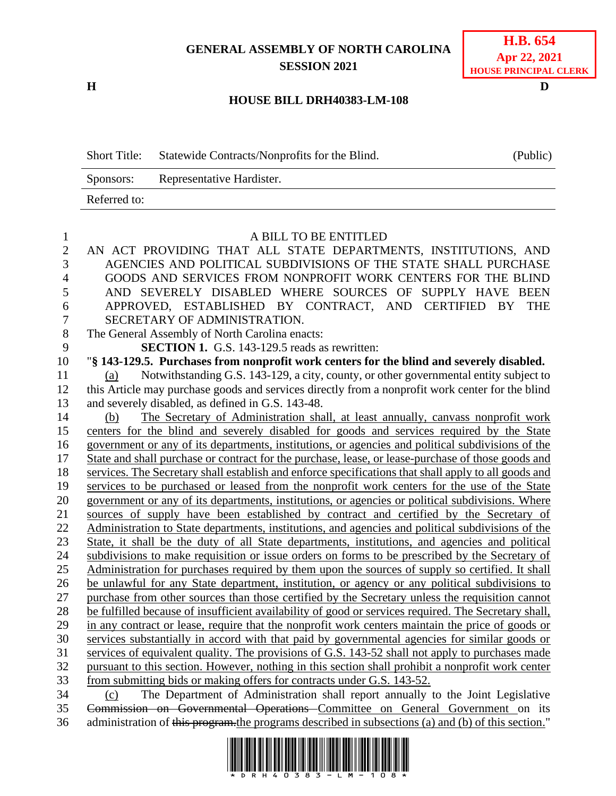## **GENERAL ASSEMBLY OF NORTH CAROLINA SESSION 2021**

**H D**

## **H.B. 654 Apr 22, 2021 HOUSE PRINCIPAL CLERK**

## **HOUSE BILL DRH40383-LM-108**

Short Title: Statewide Contracts/Nonprofits for the Blind. (Public) Sponsors: Representative Hardister. Referred to:

| 1                | A BILL TO BE ENTITLED                                                                                |
|------------------|------------------------------------------------------------------------------------------------------|
| $\mathbf{2}$     | AN ACT PROVIDING THAT ALL STATE DEPARTMENTS, INSTITUTIONS, AND                                       |
| 3                | AGENCIES AND POLITICAL SUBDIVISIONS OF THE STATE SHALL PURCHASE                                      |
| $\overline{4}$   | GOODS AND SERVICES FROM NONPROFIT WORK CENTERS FOR THE BLIND                                         |
| 5                | AND SEVERELY DISABLED WHERE SOURCES OF SUPPLY HAVE BEEN                                              |
| 6                | APPROVED, ESTABLISHED BY CONTRACT, AND CERTIFIED BY<br><b>THE</b>                                    |
| $\boldsymbol{7}$ | SECRETARY OF ADMINISTRATION.                                                                         |
| $8\,$            | The General Assembly of North Carolina enacts:                                                       |
| 9                | <b>SECTION 1.</b> G.S. 143-129.5 reads as rewritten:                                                 |
| 10               | "§ 143-129.5. Purchases from nonprofit work centers for the blind and severely disabled.             |
| 11               | Notwithstanding G.S. 143-129, a city, county, or other governmental entity subject to<br>(a)         |
| 12               | this Article may purchase goods and services directly from a nonprofit work center for the blind     |
| 13               | and severely disabled, as defined in G.S. 143-48.                                                    |
| 14               | The Secretary of Administration shall, at least annually, canvass nonprofit work<br>(b)              |
| 15               | centers for the blind and severely disabled for goods and services required by the State             |
| 16               | government or any of its departments, institutions, or agencies and political subdivisions of the    |
| 17               | State and shall purchase or contract for the purchase, lease, or lease-purchase of those goods and   |
| 18               | services. The Secretary shall establish and enforce specifications that shall apply to all goods and |
| 19               | services to be purchased or leased from the nonprofit work centers for the use of the State          |
| 20               | government or any of its departments, institutions, or agencies or political subdivisions. Where     |
| 21               | sources of supply have been established by contract and certified by the Secretary of                |
| 22               | Administration to State departments, institutions, and agencies and political subdivisions of the    |
| 23               | State, it shall be the duty of all State departments, institutions, and agencies and political       |
| 24               | subdivisions to make requisition or issue orders on forms to be prescribed by the Secretary of       |
| 25               | Administration for purchases required by them upon the sources of supply so certified. It shall      |
| 26               | be unlawful for any State department, institution, or agency or any political subdivisions to        |
| 27               | purchase from other sources than those certified by the Secretary unless the requisition cannot      |
| 28               | be fulfilled because of insufficient availability of good or services required. The Secretary shall, |
| 29               | in any contract or lease, require that the nonprofit work centers maintain the price of goods or     |
| 30               | services substantially in accord with that paid by governmental agencies for similar goods or        |
| 31               | services of equivalent quality. The provisions of G.S. 143-52 shall not apply to purchases made      |
| 32               | pursuant to this section. However, nothing in this section shall prohibit a nonprofit work center    |
| 33               | from submitting bids or making offers for contracts under G.S. 143-52.                               |
| 34               | The Department of Administration shall report annually to the Joint Legislative<br>(c)               |
| 35               | Commission on Governmental Operations Committee on General Government on its                         |
| 36               | administration of this program, the programs described in subsections (a) and (b) of this section."  |